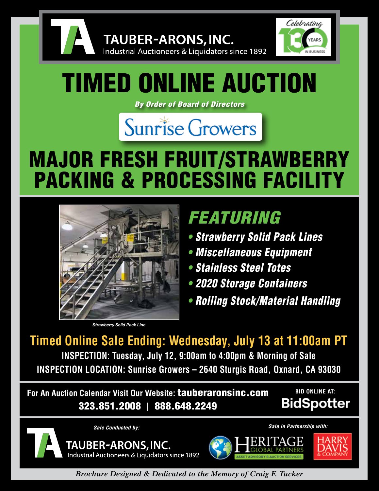

Celebrating YEARS **N BUSINES** 

# TIMED ONLINE AUCTION

Industrial Auctioneers & Liquidators since 1892

TAUBER-ARONS, INC.

*By Order of Board of Directors*



# MAJOR FRESH FRUIT/STRAWBERRY **PACKING & PROCESSING FACILIT**



*Strawberry Solid Pack Line*

### *FEATURING*

- *Strawberry Solid Pack Lines*
- *Miscellaneous Equipment*
- *Stainless Steel Totes*
- *2020 Storage Containers*
- *Rolling Stock/Material Handling*

**Timed Online Sale Ending: Wednesday, July 13 at 11:00am PT INSPECTION: Tuesday, July 12, 9:00am to 4:00pm & Morning of Sale INSPECTION LOCATION: Sunrise Growers – 2640 Sturgis Road, Oxnard, CA 93030**

**For An Auction Calendar Visit Our Website:** tauberaronsinc.com 323.851.2008 **|** 888.648.2249

**BID ONLINE AT:BidSpotter** 







*Brochure Designed & Dedicated to the Memory of Craig F. Tucker*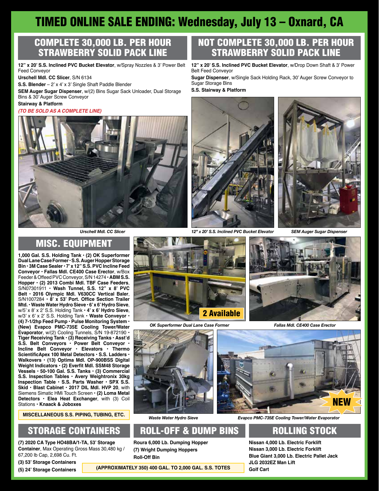### TIMED ONLINE SALE ENDING: Wednesday, July 13 – Oxnard, CA

#### COMPLETE 30,000 LB. PER HOUR STRAWBERRY SOLID PACK LINE

**12" x 20' S.S. Inclined PVC Bucket Elevator**, w/Spray Nozzles & 3' Power Belt Feed Conveyor

**Urschell Mdl. CC Slicer**, S/N 6134

**S.S. Blender** – 2' x 4' x 3' Single Shaft Paddle Blender

**SEM Auger Sugar Dispenser**, w/(2) Bins Sugar Sack Unloader, Dual Storage Bins & 30' Auger Screw Conveyor

#### **Stairway & Platform**

#### *(TO BE SOLD AS A COMPLETE LINE)*



### NOT COMPLETE 30,000 LB. PER HOUR STRAWBERRY SOLID PACK LINE

**12" x 20' S.S. Inclined PVC Bucket Elevator**, w/Drop Down Shaft & 3' Power Belt Feed Conveyor

**Sugar Dispenser**, w/Single Sack Holding Rack, 30' Auger Screw Conveyor to Sugar Storage Bins

**S.S. Stairway & Platform**



*Urschell Mdl. CC Slicer 12" x 20' S.S. Inclined PVC Bucket Elevator SEM Auger Sugar Dispenser*



### MISC. EQUIPMENT

**1,000 Gal. S.S. Holding Tank** • **(2) OK Superformer Dual Lane Case Former** • **S.S. Auger Hopper Storage Bin** • **3M Case Sealer** • **7' x 12" S.S. PVC Incline Feed Conveyor** • **Fallas Mdl. CE400 Case Erector**, w/Box Feeder & Offeed PVC Conveyor, S/N 14274 • **ABM S.S. Hopper** • **(2) 2013 Combi Mdl. TBF Case Feeders**, S/N07301911 • **Wash Tunnel, S.S. 12" x 8' PVC Belt** • **2016 Olympic Mdl. V630CC Vertical Baler**, S/N1007284 • **8' x 53' Port. Office Section Trailer Mtd.** • **Waste Water Hydro Sieve** • **6' x 6' Hydro Sieve**, w/5' x 8' x 2' S.S. Holding Tank • **4' x 6' Hydro Sieve**, w/3' x 6' x 2' S.S. Holding Tank • **Waste Conveyor** • **(4) 7-1/2hp Feed Pump** • **Pulse Monitoring System** • **(New) Evapco PMC-735E Cooling Tower/Water Evaporator**, w/(2) Cooling Tunnels, S/N 19-872190 • **Tiger Receiving Tank** • **(3) Receiving Tanks** • **Asst'd S.S. Belt Conveyors** • **Power Belt Conveyor** • **Incline Belt Conveyor** • **Elevators** • **Thermo ScientificApex 100 Metal Detectors** • **S.S. Ladders** • **Walkovers** • **(13) Optima Mdl. OP-900BSS Digital Weight Indicators** • **(2) Everfit Mdl. SSM48 Storage Vessels** • **50-100 Gal. S.S. Tanks** • **(3) Commercial S.S. Inspection Tables** • **Avery Weightronix 30kg Inspection Table** • **S.S. Parts Washer** • **SPX S.S. Skid** • **Blast Cabinet** • **2017 DIL Mdl. HVP 20**, with Siemens Simatic HMi Touch Screen • **(2) Loma Metal Detectors** • **Elea Heat Exchanger**, with (3) Coil Stations • **Knaack & Joboxes**

**MISCELLANEOUS S.S. PIPING, TUBING, ETC.**

### STORAGE CONTAINERS

**(7) 2020 CA Type HO48BA/1-TA, 53' Storage Container**, Max Operating Gross Mass 30,480 kg / 67,200 lb Cap, 2,698 Cu. Ft.

**(3) 53' Storage Containers (5) 24' Storage Containers**



*OK Superformer Dual Lane Case Former Fallas Mdl. CE400 Case Erector*



### ROLL-OFF & DUMP BINS

**Roura 6,000 Lb. Dumping Hopper (7) Wright Dumping Hoppers Roll-Off Bin**



*Waste Water Hydro Sieve Evapco PMC-735E Cooling Tower/Water Evaporator*

### ROLLING STOCK

**Nissan 4,000 Lb. Electric Forklift Nissan 3,000 Lb. Electric Forklift Blue Giant 3,000 Lb. Electric Pallet Jack JLG 2032EZ Man Lift**

**Golf Cart (APPROXIMATELY 350) 400 GAL. TO 2,000 GAL. S.S. TOTES**